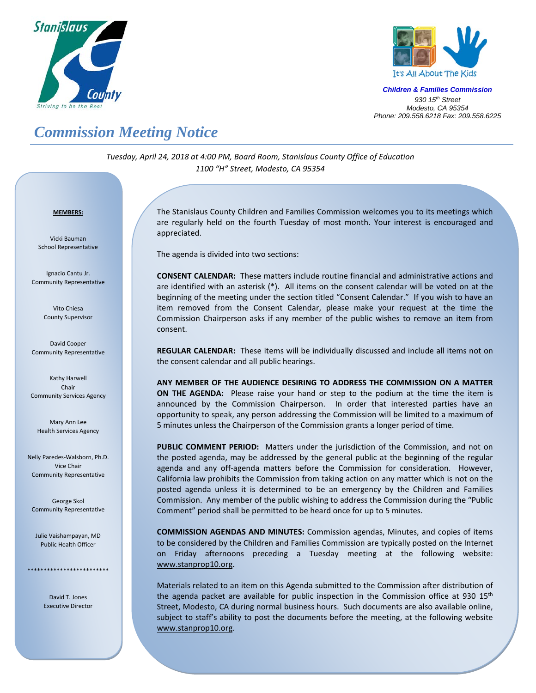



*Children & Families Commission 930 15th Street Modesto, CA 95354 Phone: 209.558.6218 Fax: 209.558.6225*

## *Commission Meeting Notice*

*Tuesday, April 24, 2018 at 4:00 PM, Board Room, Stanislaus County Office of Education 1100 "H" Street, Modesto, CA 95354*

## *<sup>U</sup>***MEMBERS:**

Vicki Bauman School Representative

Ignacio Cantu Jr. Community Representative

> Vito Chiesa County Supervisor

David Cooper Community Representative

Kathy Harwell Chair Community Services Agency

Mary Ann Lee Health Services Agency

Nelly Paredes-Walsborn, Ph.D. Vice Chair Community Representative

George Skol Community Representative

Julie Vaishampayan, MD Public Health Officer

\*\*\*\*\*\*\*\*\*\*\*\*\*\*\*\*\*\*\*\*\*\*\*\*\*

David T. Jones Executive Director

The Stanislaus County Children and Families Commission welcomes you to its meetings which are regularly held on the fourth Tuesday of most month. Your interest is encouraged and appreciated.

The agenda is divided into two sections:

**CONSENT CALENDAR:** These matters include routine financial and administrative actions and are identified with an asterisk (\*). All items on the consent calendar will be voted on at the beginning of the meeting under the section titled "Consent Calendar." If you wish to have an item removed from the Consent Calendar, please make your request at the time the Commission Chairperson asks if any member of the public wishes to remove an item from consent.

**REGULAR CALENDAR:** These items will be individually discussed and include all items not on the consent calendar and all public hearings.

**ANY MEMBER OF THE AUDIENCE DESIRING TO ADDRESS THE COMMISSION ON A MATTER ON THE AGENDA:** Please raise your hand or step to the podium at the time the item is announced by the Commission Chairperson. In order that interested parties have an opportunity to speak, any person addressing the Commission will be limited to a maximum of 5 minutes unless the Chairperson of the Commission grants a longer period of time.

**PUBLIC COMMENT PERIOD:** Matters under the jurisdiction of the Commission, and not on the posted agenda, may be addressed by the general public at the beginning of the regular agenda and any off-agenda matters before the Commission for consideration. However, California law prohibits the Commission from taking action on any matter which is not on the posted agenda unless it is determined to be an emergency by the Children and Families Commission. Any member of the public wishing to address the Commission during the "Public Comment" period shall be permitted to be heard once for up to 5 minutes.

**COMMISSION AGENDAS AND MINUTES:** Commission agendas, Minutes, and copies of items to be considered by the Children and Families Commission are typically posted on the Internet on Friday afternoons preceding a Tuesday meeting at the following website: [www.stanprop10.org](http://www.stanprop10.org/).

Materials related to an item on this Agenda submitted to the Commission after distribution of the agenda packet are available for public inspection in the Commission office at 930  $15<sup>th</sup>$ Street, Modesto, CA during normal business hours. Such documents are also available online, subject to staff's ability to post the documents before the meeting, at the following website [www.stanprop10.org](http://www.stanprop10.org/).